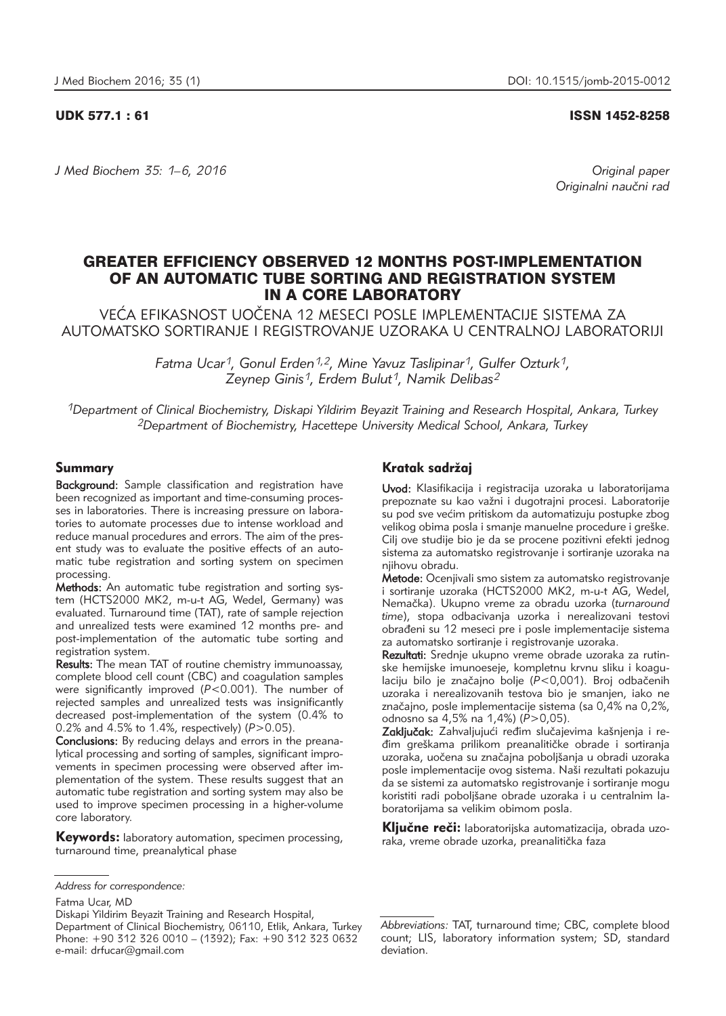UDK 577.1 : 61 ISSN 1452-8258

*J Med Biochem 35: 1–6, 2016 Original paper*

Originalni naučni rad

# GREATER EFFICIENCY OBSERVED 12 MONTHS POST-IMPLEMENTATION OF AN AUTOMATIC TUBE SORTING AND REGISTRATION SYSTEM IN A CORE LABORATORY

VEĆA EFIKASNOST UOČENA 12 MESECI POSLE IMPLEMENTACIJE SISTEMA ZA AUTOMATSKO SORTIRANJE I REGISTROVANJE UZORAKA U CENTRALNOJ LABORATORIJI

> *Fatma Ucar1, Gonul Erden1,2, Mine Yavuz Taslipinar1, Gulfer Ozturk1, Zeynep Ginis1, Erdem Bulut1, Namik Delibas2*

*1Department of Clinical Biochemistry, Diskapi Yildirim Beyazit Training and Research Hospital, Ankara, Turkey 2Department of Biochemistry, Hacettepe University Medical School, Ankara, Turkey*

# Summary

Background: Sample classification and registration have been recognized as important and time-consuming processes in laboratories. There is increasing pressure on laboratories to automate processes due to intense workload and reduce manual procedures and errors. The aim of the present study was to evaluate the positive effects of an automatic tube registration and sorting system on specimen processing.

Methods: An automatic tube registration and sorting system (HCTS2000 MK2, m-u-t AG, Wedel, Germany) was evaluated. Turnaround time (TAT), rate of sample rejection and unrealized tests were examined 12 months pre- and post-implementation of the automatic tube sorting and registration system.

Results: The mean TAT of routine chemistry immunoassay, complete blood cell count (CBC) and coagulation samples were significantly improved (*P*<0.001). The number of rejected samples and unrealized tests was insignificantly decreased post-implementation of the system (0.4% to 0.2% and 4.5% to 1.4%, respectively) (*P*>0.05).

Conclusions: By reducing delays and errors in the preanalytical processing and sorting of samples, significant improvements in specimen processing were observed after im ple mentation of the system. These results suggest that an automatic tube registration and sorting system may also be used to improve specimen processing in a higher-volume core laboratory.

**Keywords:** laboratory automation, specimen processing, turnaround time, preanalytical phase

Fatma Ucar, MD

Diskapi Yildirim Beyazit Training and Research Hospital,

# Kratak sadržaj

Uvod: Klasifikacija i registracija uzoraka u laboratorijama prepoznate su kao važni i dugotrajni procesi. Laboratorije su pod sve većim pritiskom da automatizuju postupke zbog velikog obima posla i smanje manuelne procedure i greške. Cilj ove studije bio je da se procene pozitivni efekti jednog sistema za automatsko registrovanje i sortiranje uzoraka na niihovu obradu.

Metode: Ocenjivali smo sistem za automatsko registrovanje i sortiranje uzoraka (HCTS2000 MK2, m-u-t AG, Wedel, Nema~ka). Ukupno vreme za obradu uzorka (*turnaround time*), stopa odbacivanja uzorka i nerealizovani testovi obrađeni su 12 meseci pre i posle implementacije sistema za automatsko sortiranje i registrovanje uzoraka.

Rezultati: Srednje ukupno vreme obrade uzoraka za rutinske hemijske imunoeseje, kompletnu krvnu sliku i koagulaciju bilo je značajno bolje (P<0,001). Broj odbačenih uzoraka i nerealizovanih testova bio je smanjen, iako ne značajno, posle implementacije sistema (sa 0,4% na 0,2%, odnosno sa 4,5% na 1,4%) (*P*>0,05).

Zaključak: Zahvaljujući ređim slučajevima kašnjenja i redim greškama prilikom preanalitičke obrade i sortiranja uzoraka, uočena su značajna poboljšanja u obradi uzoraka posle implementacije ovog sistema. Naši rezultati pokazuju da se sistemi za automatsko registrovanje i sortiranje mogu koristiti radi pobolišane obrade uzoraka i u centralnim laboratorijama sa velikim obimom posla.

Ključne reči: laboratorijska automatizacija, obrada uzoraka, vreme obrade uzorka, preanalitička faza

*Address for correspondence:* 

Department of Clinical Biochemistry, 06110, Etlik, Ankara, Turkey Phone:  $+90\,312\,326\,0010 - (1392)$ ; Fax:  $+90\,312\,323\,0632$ e-mail: drfucar@gmail.com

*Abbreviations:* TAT, turnaround time; CBC, complete blood count; LIS, laboratory information system; SD, standard deviation.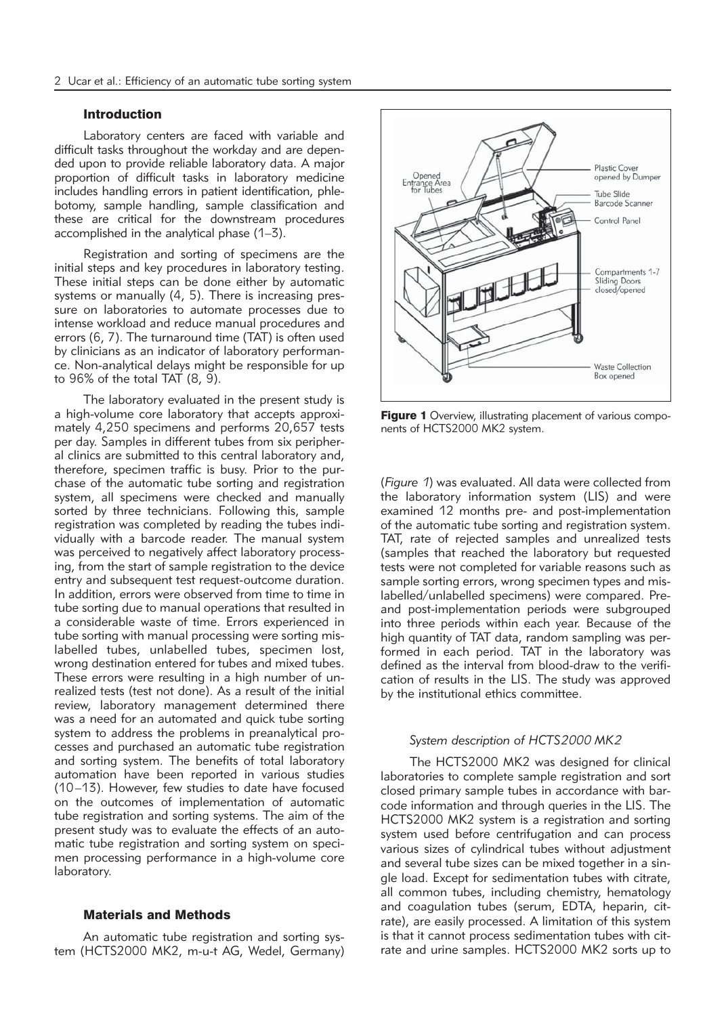## **Introduction**

Laboratory centers are faced with variable and difficult tasks throughout the workday and are depended upon to provide reliable laboratory data. A major proportion of difficult tasks in laboratory medicine includes handling errors in patient identification, phlebotomy, sample handling, sample classification and these are critical for the downstream procedures accomplished in the analytical phase (1–3).

Registration and sorting of specimens are the initial steps and key procedures in laboratory testing. These initial steps can be done either by automatic systems or manually (4, 5). There is increasing pressure on laboratories to automate processes due to intense workload and reduce manual procedures and errors (6, 7). The turnaround time (TAT) is often used by clinicians as an indicator of laboratory performance. Non-analytical delays might be responsible for up to 96% of the total TAT (8, 9).

The laboratory evaluated in the present study is a high-volume core laboratory that accepts approximately 4,250 specimens and performs 20,657 tests per day. Samples in different tubes from six peripheral clinics are submitted to this central laboratory and, therefore, specimen traffic is busy. Prior to the purchase of the automatic tube sorting and registration system, all specimens were checked and manually sorted by three technicians. Following this, sample registration was completed by reading the tubes individually with a barcode reader. The manual system was perceived to negatively affect laboratory processing, from the start of sample registration to the device entry and subsequent test request-outcome duration. In addition, errors were observed from time to time in tube sorting due to manual operations that resulted in a considerable waste of time. Errors experienced in tube sorting with manual processing were sorting mislabelled tubes, unlabelled tubes, specimen lost, wrong destination entered for tubes and mixed tubes. These errors were resulting in a high number of unrealized tests (test not done). As a result of the initial review, laboratory management determined there was a need for an automated and quick tube sorting system to address the problems in preanalytical processes and purchased an automatic tube registration and sorting system. The benefits of total laboratory automation have been reported in various studies (10–13). However, few studies to date have focused on the outcomes of implementation of automatic tube registration and sorting systems. The aim of the present study was to evaluate the effects of an automatic tube registration and sorting system on specimen processing performance in a high-volume core laboratory.

#### Materials and Methods

An automatic tube registration and sorting system (HCTS2000 MK2, m-u-t AG, Wedel, Germany)



Figure 1 Overview, illustrating placement of various components of HCTS2000 MK2 system.

(*Figure 1*) was evaluated. All data were collected from the laboratory information system (LIS) and were examined 12 months pre- and post-implementation of the automatic tube sorting and registration system. TAT, rate of rejected samples and unrealized tests (samples that reached the laboratory but requested tests were not completed for variable reasons such as sample sorting errors, wrong specimen types and mislabelled/unlabelled specimens) were compared. Preand post-implementation periods were subgrouped into three periods within each year. Because of the high quantity of TAT data, random sampling was performed in each period. TAT in the laboratory was defined as the interval from blood-draw to the verification of results in the LIS. The study was approved by the institutional ethics committee.

### *System description of HCTS2000 MK2*

The HCTS2000 MK2 was designed for clinical laboratories to complete sample registration and sort closed primary sample tubes in accordance with barcode information and through queries in the LIS. The HCTS2000 MK2 system is a registration and sorting system used before centrifugation and can process various sizes of cylindrical tubes without adjustment and several tube sizes can be mixed together in a single load. Except for sedimentation tubes with citrate, all common tubes, including chemistry, hematology and coagulation tubes (serum, EDTA, heparin, citrate), are easily processed. A limitation of this system is that it cannot process sedimentation tubes with citrate and urine samples. HCTS2000 MK2 sorts up to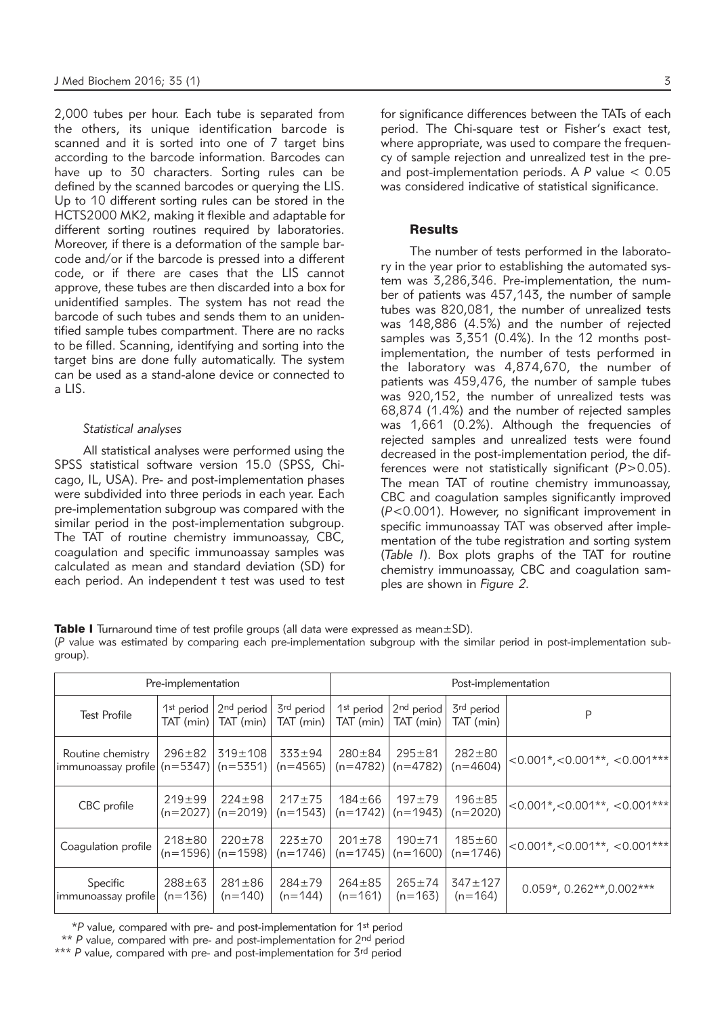2,000 tubes per hour. Each tube is separated from the others, its unique identification barcode is scanned and it is sorted into one of 7 target bins according to the barcode information. Barcodes can have up to 30 characters. Sorting rules can be defined by the scanned barcodes or querying the LIS. Up to 10 different sorting rules can be stored in the HCTS2000 MK2, making it flexible and adaptable for different sorting routines required by laboratories. Moreover, if there is a deformation of the sample barcode and/or if the barcode is pressed into a different code, or if there are cases that the LIS cannot approve, these tubes are then discarded into a box for unidentified samples. The system has not read the barcode of such tubes and sends them to an unidentified sample tubes compartment. There are no racks to be filled. Scanning, identifying and sorting into the target bins are done fully automatically. The system can be used as a stand-alone device or connected to a LIS.

#### *Statistical analyses*

All statistical analyses were performed using the SPSS statistical software version 15.0 (SPSS, Chicago, IL, USA). Pre- and post-implementation phases were subdivided into three periods in each year. Each pre-implementation subgroup was compared with the similar period in the post-implementation subgroup. The TAT of routine chemistry immunoassay, CBC, coagulation and specific immunoassay samples was calculated as mean and standard deviation (SD) for each period. An independent t test was used to test

for significance differences between the TATs of each period. The Chi-square test or Fisher's exact test, where appropriate, was used to compare the frequency of sample rejection and unrealized test in the preand post-implementation periods. A *P* value < 0.05 was considered indicative of statistical significance.

#### **Results**

The number of tests performed in the laboratory in the year prior to establishing the automated system was 3,286,346. Pre-implementation, the number of patients was 457,143, the number of sample tubes was 820,081, the number of unrealized tests was 148,886 (4.5%) and the number of rejected samples was 3,351 (0.4%). In the 12 months postimplementation, the number of tests performed in the laboratory was 4,874,670, the number of patients was 459,476, the number of sample tubes was 920,152, the number of unrealized tests was 68,874 (1.4%) and the number of rejected samples was 1,661 (0.2%). Although the frequencies of rejected samples and unrealized tests were found decreased in the post-implementation period, the differences were not statistically significant (*P*>0.05). The mean TAT of routine chemistry immunoassay, CBC and coagulation samples significantly improved (*P*<0.001). However, no significant improvement in specific immunoassay TAT was observed after implementation of the tube registration and sorting system (*Table I*). Box plots graphs of the TAT for routine chemistry immunoassay, CBC and coagulation samples are shown in *Figure 2*.

**Table I** Turnaround time of test profile groups (all data were expressed as mean $\pm$ SD). (*P* value was estimated by comparing each pre-implementation subgroup with the similar period in post-implementation subgroup).

| Pre-implementation                                |                                     |                             |                                     | Post-implementation                 |                           |                          |                                       |
|---------------------------------------------------|-------------------------------------|-----------------------------|-------------------------------------|-------------------------------------|---------------------------|--------------------------|---------------------------------------|
| <b>Test Profile</b>                               | 1 <sup>st</sup> period<br>TAT (min) | $2nd$ period<br>TAT (min)   | 3 <sup>rd</sup> period<br>TAT (min) | 1 <sup>st</sup> period<br>TAT (min) | $2nd$ period<br>TAT (min) | 3rd period<br>TAT (min)  | P                                     |
| Routine chemistry<br>immunoassay profile (n=5347) | $296 \pm 82$                        | $319 \pm 108$<br>$(n=5351)$ | 333±94<br>$(n=4565)$                | $280 + 84$<br>$(n=4782)$            | $295 + 81$<br>$(n=4782)$  | $282 + 80$<br>$(n=4604)$ | $<$ 0.001*, $<$ 0.001**, $<$ 0.001*** |
| CBC profile                                       | $219 + 99$<br>$(n=2027)$            | $224 \pm 98$<br>l (n=2019)  | $217+75$<br>$(n=1543)$              | $184 \pm 66$<br>$(n=1742)$          | $197+79$<br>$(n=1943)$    | $196 + 85$<br>$(n=2020)$ | $<$ 0.001*, $<$ 0.001**, $<$ 0.001*** |
| Coagulation profile                               | $218 + 80$<br>$(n=1596)$            | $220 \pm 78$<br>$(n=1598)$  | $223 \pm 70$<br>$(n=1746)$          | $201 \pm 78$<br>$(n=1745)$          | $190 + 71$<br>$(n=1600)$  | $185 + 60$<br>$(n=1746)$ | $<$ 0.001*, $<$ 0.001**, $<$ 0.001*** |
| Specific<br> immunoassay profile                  | $288 + 63$<br>$(n=136)$             | $281 \pm 86$<br>$(n=140)$   | $284 + 79$<br>$(n=144)$             | $264 + 85$<br>$(n=161)$             | $265 \pm 74$<br>$(n=163)$ | $347 + 127$<br>$(n=164)$ | $0.059$ *, 0.262**, 0.002***          |

\**P* value, compared with pre- and post-implementation for 1st period

\*\* *P* value, compared with pre- and post-implementation for 2nd period

\*\*\* *P* value, compared with pre- and post-implementation for 3rd period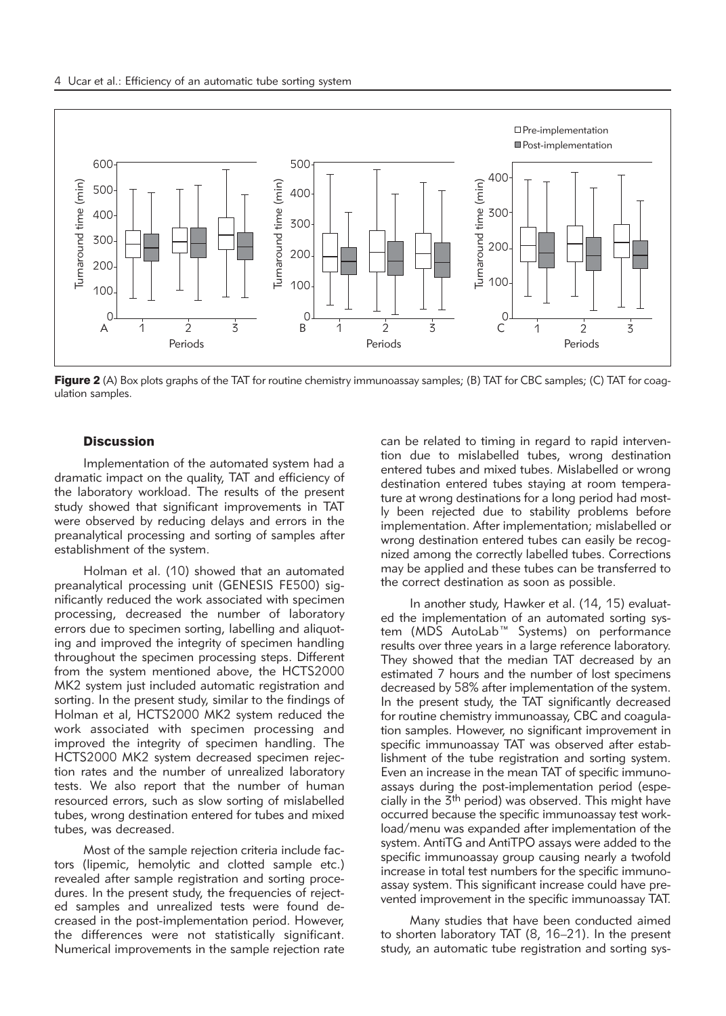

Figure 2 (A) Box plots graphs of the TAT for routine chemistry immunoassay samples; (B) TAT for CBC samples; (C) TAT for coagulation samples.

## **Discussion**

Implementation of the automated system had a dramatic impact on the quality, TAT and efficiency of the laboratory workload. The results of the present study showed that significant improvements in TAT were observed by reducing delays and errors in the preanalytical processing and sorting of samples after establishment of the system.

Holman et al. (10) showed that an automated preanalytical processing unit (GENESIS FE500) significantly reduced the work associated with specimen processing, decreased the number of laboratory errors due to specimen sorting, labelling and aliquoting and improved the integrity of specimen handling throughout the specimen processing steps. Different from the system mentioned above, the HCTS2000 MK2 system just included automatic registration and sorting. In the present study, similar to the findings of Holman et al, HCTS2000 MK2 system reduced the work associated with specimen processing and improved the integrity of specimen handling. The HCTS2000 MK2 system decreased specimen rejection rates and the number of unrealized laboratory tests. We also report that the number of human resourced errors, such as slow sorting of mislabelled tubes, wrong destination entered for tubes and mixed tubes, was decreased.

Most of the sample rejection criteria include factors (lipemic, hemolytic and clotted sample etc.) revealed after sample registration and sorting procedures. In the present study, the frequencies of rejected samples and unrealized tests were found decreased in the post-implementation period. However, the differences were not statistically significant. Numerical improvements in the sample rejection rate

can be related to timing in regard to rapid intervention due to mislabelled tubes, wrong destination entered tubes and mixed tubes. Mislabelled or wrong destination entered tubes staying at room temperature at wrong destinations for a long period had mostly been rejected due to stability problems before implementation. After implementation; mislabelled or wrong destination entered tubes can easily be recognized among the correctly labelled tubes. Corrections may be applied and these tubes can be transferred to the correct destination as soon as possible.

In another study, Hawker et al. (14, 15) evaluated the implementation of an automated sorting system (MDS AutoLab™ Systems) on performance results over three years in a large reference laboratory. They showed that the median TAT decreased by an estimated 7 hours and the number of lost specimens decreased by 58% after implementation of the system. In the present study, the TAT significantly decreased for routine chemistry immunoassay, CBC and coagulation samples. However, no significant improvement in specific immunoassay TAT was observed after establishment of the tube registration and sorting system. Even an increase in the mean TAT of specific immunoassays during the post-implementation period (especially in the 3<sup>th</sup> period) was observed. This might have occurred because the specific immunoassay test workload/menu was expanded after implementation of the system. AntiTG and AntiTPO assays were added to the specific immunoassay group causing nearly a twofold increase in total test numbers for the specific immunoassay system. This significant increase could have prevented improvement in the specific immunoassay TAT.

Many studies that have been conducted aimed to shorten laboratory TAT (8, 16–21). In the present study, an automatic tube registration and sorting sys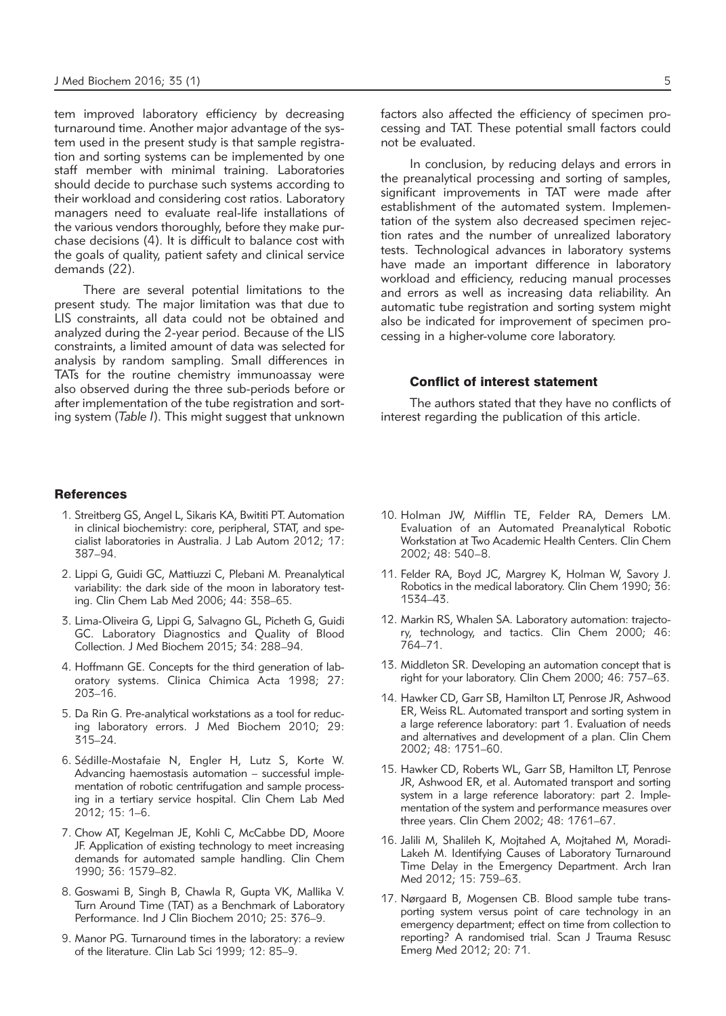tem improved laboratory efficiency by decreasing turnaround time. Another major advantage of the system used in the present study is that sample registration and sorting systems can be implemented by one staff member with minimal training. Laboratories should decide to purchase such systems according to their workload and considering cost ratios. Laboratory managers need to evaluate real-life installations of the various vendors thoroughly, before they make purchase decisions (4). It is difficult to balance cost with the goals of quality, patient safety and clinical service demands (22).

There are several potential limitations to the present study. The major limitation was that due to LIS constraints, all data could not be obtained and analyzed during the 2-year period. Because of the LIS constraints, a limited amount of data was selected for analysis by random sampling. Small differences in TATs for the routine chemistry immunoassay were also observed during the three sub-periods before or after implementation of the tube registration and sorting system (*Table I*). This might suggest that unknown

#### **References**

- 1. Streitberg GS, Angel L, Sikaris KA, Bwititi PT. Automation in clinical biochemistry: core, peripheral, STAT, and specialist laboratories in Australia. J Lab Autom 2012; 17: 387–94.
- 2. Lippi G, Guidi GC, Mattiuzzi C, Plebani M. Preanalytical variability: the dark side of the moon in laboratory testing. Clin Chem Lab Med 2006; 44: 358–65.
- 3. Lima-Oliveira G, Lippi G, Salvagno GL, Picheth G, Guidi GC. Laboratory Diagnostics and Quality of Blood Collection. J Med Biochem 2015; 34: 288–94.
- 4. Hoffmann GE. Concepts for the third generation of laboratory systems. Clinica Chimica Acta 1998; 27: 203–16.
- 5. Da Rin G. Pre-analytical workstations as a tool for reducing laboratory errors. J Med Biochem 2010; 29: 315–24.
- 6. Sédille-Mostafaie N, Engler H, Lutz S, Korte W. Advancing haemostasis automation – successful implementation of robotic centrifugation and sample processing in a tertiary service hospital. Clin Chem Lab Med 2012; 15: 1–6.
- 7. Chow AT, Kegelman JE, Kohli C, McCabbe DD, Moore JF. Application of existing technology to meet increasing demands for automated sample handling. Clin Chem 1990; 36: 1579–82.
- 8. Goswami B, Singh B, Chawla R, Gupta VK, Mallika V. Turn Around Time (TAT) as a Benchmark of Laboratory Performance. Ind J Clin Biochem 2010; 25: 376–9.
- 9. Manor PG. Turnaround times in the laboratory: a review of the literature. Clin Lab Sci 1999; 12: 85–9.

In conclusion, by reducing delays and errors in the preanalytical processing and sorting of samples, significant improvements in TAT were made after establishment of the automated system. Implementation of the system also decreased specimen rejection rates and the number of unrealized laboratory tests. Technological advances in laboratory systems have made an important difference in laboratory workload and efficiency, reducing manual processes and errors as well as increasing data reliability. An automatic tube registration and sorting system might also be indicated for improvement of specimen processing in a higher-volume core laboratory.

## Conflict of interest statement

The authors stated that they have no conflicts of interest regarding the publication of this article.

- 10. Holman JW, Mifflin TE, Felder RA, Demers LM. Evaluation of an Automated Preanalytical Robotic Workstation at Two Academic Health Centers. Clin Chem 2002; 48: 540–8.
- 11. Felder RA, Boyd JC, Margrey K, Holman W, Savory J. Robotics in the medical laboratory. Clin Chem 1990; 36: 1534–43.
- 12. Markin RS, Whalen SA. Laboratory automation: trajectory, technology, and tactics. Clin Chem 2000; 46: 764–71.
- 13. Middleton SR. Developing an automation concept that is right for your laboratory. Clin Chem 2000; 46: 757–63.
- 14. Hawker CD, Garr SB, Hamilton LT, Penrose JR, Ashwood ER, Weiss RL. Automated transport and sorting system in a large reference laboratory: part 1. Evaluation of needs and alternatives and development of a plan. Clin Chem 2002; 48: 1751–60.
- 15. Hawker CD, Roberts WL, Garr SB, Hamilton LT, Penrose JR, Ashwood ER, et al. Automated transport and sorting system in a large reference laboratory: part 2. Implementation of the system and performance measures over three years. Clin Chem 2002; 48: 1761–67.
- 16. Jalili M, Shalileh K, Mojtahed A, Mojtahed M, Moradi-Lakeh M. Identifying Causes of Laboratory Turnaround Time Delay in the Emergency Department. Arch Iran Med 2012; 15: 759–63.
- 17. Nørgaard B, Mogensen CB. Blood sample tube transporting system versus point of care technology in an emergency department; effect on time from collection to reporting? A randomised trial. Scan J Trauma Resusc Emerg Med 2012; 20: 71.